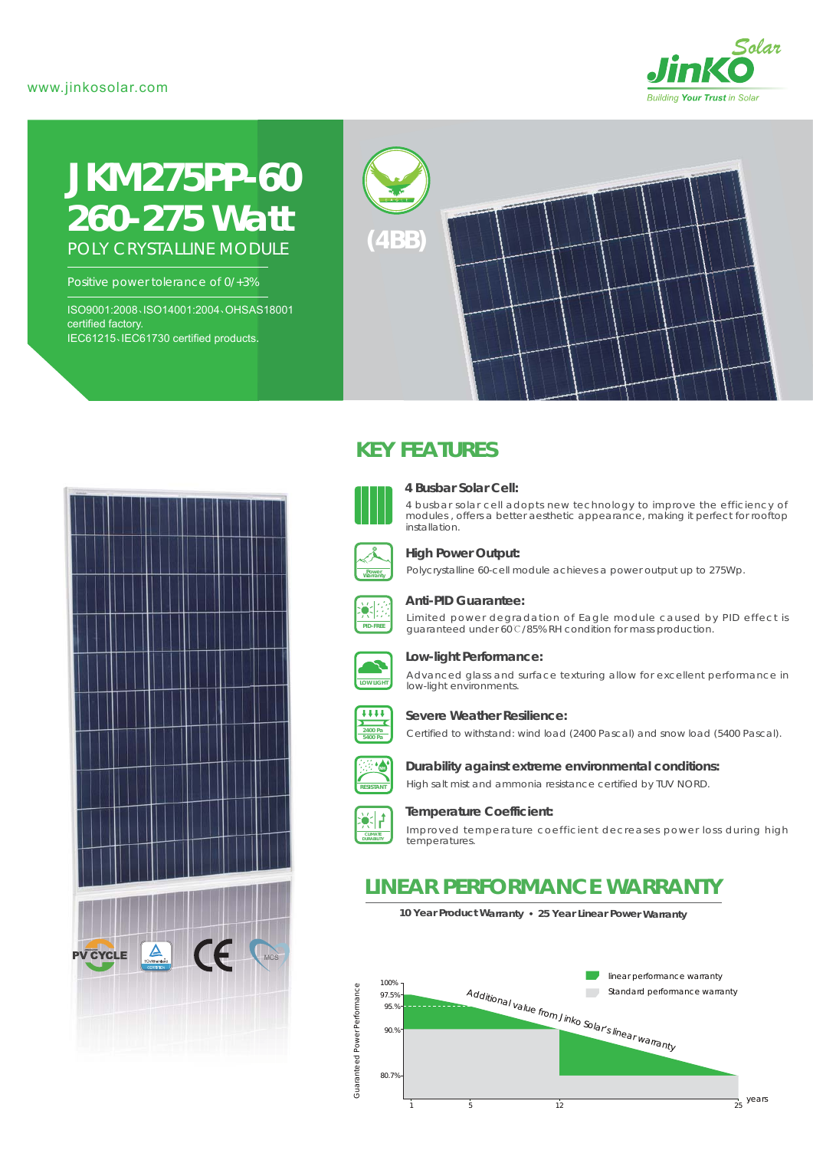### www.jinkosolar.com



# **JKM275PP-60** *260-275 Watt* POLY CRYSTALLINE MODULE

Positive power tolerance of 0/+3%

ISO9001:2008、ISO14001:2004、OHSAS18001 certified factory. IEC61215、IEC61730 certified products.



# $\sum_{\text{TUVRinsimplified}}$  $\bigcap$ **PV CYCLE**

# **KEY FEATURES**



#### **4 Busbar Solar Cell:**

4 busbar solar cell adopts new technology to improve the efficiency of modules , offers a better aesthetic appearance, making it perfect for rooftop installation.



#### **High Power Output:**

Polycrystalline 60-cell module achieves a power output up to 275Wp.



#### **Anti-PID Guarantee:**

Limited power degradation of Eagle module caused by PID effect is guaranteed under 60℃/85% RH condition for mass production.



#### **Low-light Performance:**

Advanced glass and surface texturing allow for excellent performance in low-light environments.



#### **Severe Weather Resilience:**

Certified to withstand: wind load (2400 Pascal) and snow load (5400 Pascal).



## **Durability against extreme environmental conditions:**

High salt mist and ammonia resistance certified by TUV NORD.



#### **Temperature Coefficient:**

Improved temperature coefficient decreases power loss during high temperatures.

# **LINEAR PERFORMANCE WARRANTY**

**10 Year Product Warranty 25 Year Linear Power Warranty**